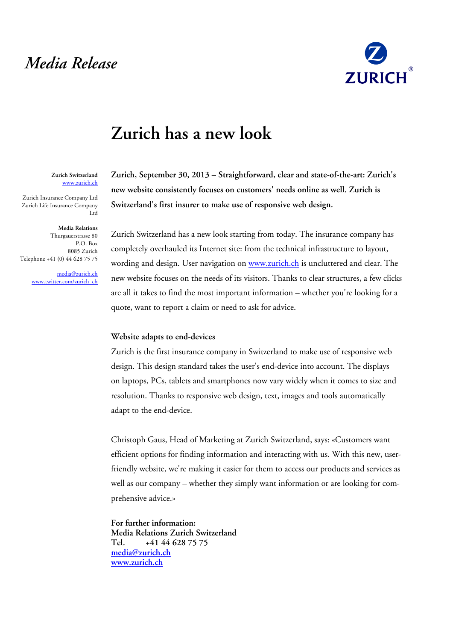## *Media Release*



## **Zurich has a new look**

**Zurich Switzerland**  www.zurich.ch

Zurich Insurance Company Ltd Zurich Life Insurance Company Ltd

**Media Relations**  Thurgauerstrasse 80 P.O. Box 8085 Zurich Telephone +41 (0) 44 628 75 75

> media@zurich.ch www.twitter.com/zurich\_ch

**Zurich, September 30, 2013 – Straightforward, clear and state-of-the-art: Zurich's new website consistently focuses on customers' needs online as well. Zurich is Switzerland's first insurer to make use of responsive web design.**

Zurich Switzerland has a new look starting from today. The insurance company has completely overhauled its Internet site: from the technical infrastructure to layout, wording and design. User navigation on www.zurich.ch is uncluttered and clear. The new website focuses on the needs of its visitors. Thanks to clear structures, a few clicks are all it takes to find the most important information – whether you're looking for a quote, want to report a claim or need to ask for advice.

## **Website adapts to end-devices**

Zurich is the first insurance company in Switzerland to make use of responsive web design. This design standard takes the user's end-device into account. The displays on laptops, PCs, tablets and smartphones now vary widely when it comes to size and resolution. Thanks to responsive web design, text, images and tools automatically adapt to the end-device.

Christoph Gaus, Head of Marketing at Zurich Switzerland, says: «Customers want efficient options for finding information and interacting with us. With this new, userfriendly website, we're making it easier for them to access our products and services as well as our company – whether they simply want information or are looking for comprehensive advice.»

**For further information: Media Relations Zurich Switzerland Tel. +41 44 628 75 75 media@zurich.ch www.zurich.ch**